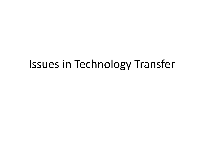# Issues in Technology Transfer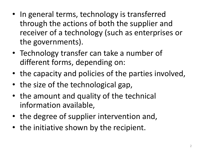- In general terms, technology is transferred through the actions of both the supplier and receiver of a technology (such as enterprises or the governments).
- Technology transfer can take a number of different forms, depending on:
- the capacity and policies of the parties involved,
- the size of the technological gap,
- the amount and quality of the technical information available,
- the degree of supplier intervention and,
- the initiative shown by the recipient.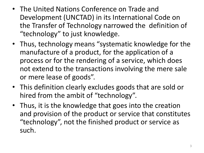- The United Nations Conference on Trade and Development (UNCTAD) in its International Code on the Transfer of Technology narrowed the definition of "technology" to just knowledge.
- Thus, technology means "systematic knowledge for the manufacture of a product, for the application of a process or for the rendering of a service, which does not extend to the transactions involving the mere sale or mere lease of goods".
- This definition clearly excludes goods that are sold or hired from the ambit of "technology".
- Thus, it is the knowledge that goes into the creation and provision of the product or service that constitutes "technology", not the finished product or service as such.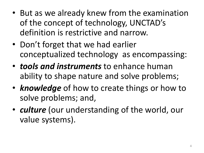- But as we already knew from the examination of the concept of technology, UNCTAD's definition is restrictive and narrow.
- Don't forget that we had earlier conceptualized technology as encompassing:
- *tools and instruments* to enhance human ability to shape nature and solve problems;
- *knowledge* of how to create things or how to solve problems; and,
- *culture* (our understanding of the world, our value systems).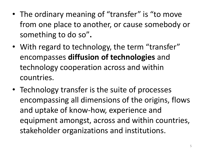- The ordinary meaning of "transfer" is "to move from one place to another, or cause somebody or something to do so"**.**
- With regard to technology, the term "transfer" encompasses **diffusion of technologies** and technology cooperation across and within countries.
- Technology transfer is the suite of processes encompassing all dimensions of the origins, flows and uptake of know-how, experience and equipment amongst, across and within countries, stakeholder organizations and institutions.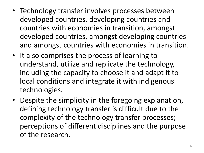- Technology transfer involves processes between developed countries, developing countries and countries with economies in transition, amongst developed countries, amongst developing countries and amongst countries with economies in transition.
- It also comprises the process of learning to understand, utilize and replicate the technology, including the capacity to choose it and adapt it to local conditions and integrate it with indigenous technologies.
- Despite the simplicity in the foregoing explanation, defining technology transfer is difficult due to the complexity of the technology transfer processes; perceptions of different disciplines and the purpose of the research.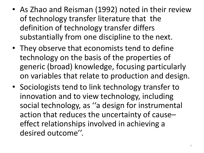- As Zhao and Reisman (1992) noted in their review of technology transfer literature that the definition of technology transfer differs substantially from one discipline to the next.
- They observe that economists tend to define technology on the basis of the properties of generic (broad) knowledge, focusing particularly on variables that relate to production and design.
- Sociologists tend to link technology transfer to innovation and to view technology, including social technology, as ''a design for instrumental action that reduces the uncertainty of cause– effect relationships involved in achieving a desired outcome''.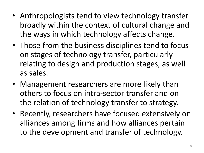- Anthropologists tend to view technology transfer broadly within the context of cultural change and the ways in which technology affects change.
- Those from the business disciplines tend to focus on stages of technology transfer, particularly relating to design and production stages, as well as sales.
- Management researchers are more likely than others to focus on intra-sector transfer and on the relation of technology transfer to strategy.
- Recently, researchers have focused extensively on alliances among firms and how alliances pertain to the development and transfer of technology.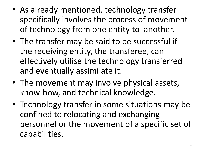- As already mentioned, technology transfer specifically involves the process of movement of technology from one entity to another.
- The transfer may be said to be successful if the receiving entity, the transferee, can effectively utilise the technology transferred and eventually assimilate it.
- The movement may involve physical assets, know-how, and technical knowledge.
- Technology transfer in some situations may be confined to relocating and exchanging personnel or the movement of a specific set of capabilities.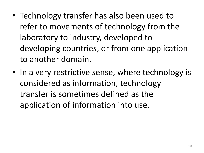- Technology transfer has also been used to refer to movements of technology from the laboratory to industry, developed to developing countries, or from one application to another domain.
- In a very restrictive sense, where technology is considered as information, technology transfer is sometimes defined as the application of information into use.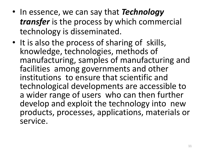- In essence, we can say that *Technology transfer* is the process by which commercial technology is disseminated.
- It is also the process of sharing of skills, knowledge, technologies, methods of manufacturing, samples of manufacturing and facilities among governments and other institutions to ensure that scientific and technological developments are accessible to a wider range of users who can then further develop and exploit the technology into new products, processes, applications, materials or service.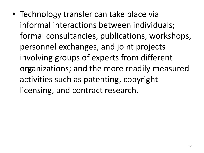• Technology transfer can take place via informal interactions between individuals; formal consultancies, publications, workshops, personnel exchanges, and joint projects involving groups of experts from different organizations; and the more readily measured activities such as patenting, copyright licensing, and contract research.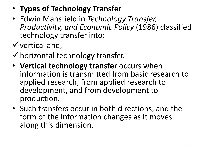- **Types of Technology Transfer**
- Edwin Mansfield in *Technology Transfer, Productivity, and Economic Policy* (1986) classified technology transfer into:
- $\checkmark$  vertical and,
- $\checkmark$  horizontal technology transfer.
- **Vertical technology transfer** occurs when information is transmitted from basic research to applied research, from applied research to development, and from development to production.
- Such transfers occur in both directions, and the form of the information changes as it moves along this dimension.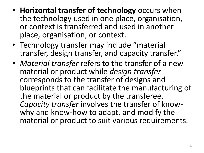- **Horizontal transfer of technology** occurs when the technology used in one place, organisation, or context is transferred and used in another place, organisation, or context.
- Technology transfer may include "material transfer, design transfer, and capacity transfer."
- *Material transfer* refers to the transfer of a new material or product while *design transfer*  corresponds to the transfer of designs and blueprints that can facilitate the manufacturing of the material or product by the transferee. *Capacity transfer* involves the transfer of knowwhy and know-how to adapt, and modify the material or product to suit various requirements.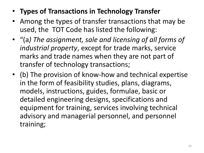#### • **Types of Transactions in Technology Transfer**

- Among the types of transfer transactions that may be used, the TOT Code has listed the following:
- "(a*) The assignment, sale and licensing of all forms of industrial property*, except for trade marks, service marks and trade names when they are not part of transfer of technology transactions;
- (b) The provision of know-how and technical expertise in the form of feasibility studies, plans, diagrams, models, instructions, guides, formulae, basic or detailed engineering designs, specifications and equipment for training, services involving technical advisory and managerial personnel, and personnel training;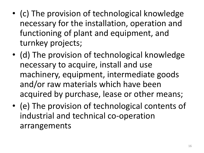- (c) The provision of technological knowledge necessary for the installation, operation and functioning of plant and equipment, and turnkey projects;
- (d) The provision of technological knowledge necessary to acquire, install and use machinery, equipment, intermediate goods and/or raw materials which have been acquired by purchase, lease or other means;
- (e) The provision of technological contents of industrial and technical co-operation arrangements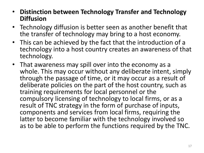- **Distinction between Technology Transfer and Technology Diffusion**
- Technology diffusion is better seen as another benefit that the transfer of technology may bring to a host economy.
- This can be achieved by the fact that the introduction of a technology into a host country creates an awareness of that technology.
- That awareness may spill over into the economy as a whole. This may occur without any deliberate intent, simply through the passage of time, or it may occur as a result of deliberate policies on the part of the host country, such as training requirements for local personnel or the compulsory licensing of technology to local firms, or as a result of TNC strategy in the form of purchase of inputs, components and services from local firms, requiring the latter to become familiar with the technology involved so as to be able to perform the functions required by the TNC.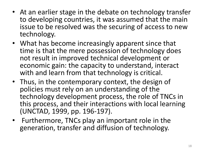- At an earlier stage in the debate on technology transfer to developing countries, it was assumed that the main issue to be resolved was the securing of access to new technology.
- What has become increasingly apparent since that time is that the mere possession of technology does not result in improved technical development or economic gain: the capacity to understand, interact with and learn from that technology is critical.
- Thus, in the contemporary context, the design of policies must rely on an understanding of the technology development process, the role of TNCs in this process, and their interactions with local learning (UNCTAD, 1999, pp. 196-197).
- Furthermore, TNCs play an important role in the generation, transfer and diffusion of technology.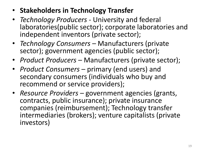- **Stakeholders in Technology Transfer**
- *Technology Producers*  University and federal laboratories(public sector); corporate laboratories and independent inventors (private sector);
- *Technology Consumers*  Manufacturers (private sector); government agencies (public sector);
- *Product Producers*  Manufacturers (private sector);
- *Product Consumers*  primary (end users) and secondary consumers (individuals who buy and recommend or service providers);
- *Resource Providers*  government agencies (grants, contracts, public insurance); private insurance companies (reimbursement); Technology transfer intermediaries (brokers); venture capitalists (private investors)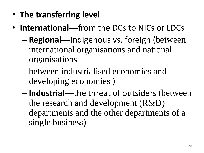- **The transferring level**
- **International**—from the DCs to NICs or LDCs
	- **Regional**—indigenous vs. foreign (between international organisations and national organisations
	- between industrialised economies and developing economies )
	- **Industrial**—the threat of outsiders (between the research and development (R&D) departments and the other departments of a single business)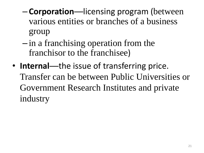- **Corporation**—licensing program (between various entities or branches of a business group
- in a franchising operation from the franchisor to the franchisee)
- **Internal**—the issue of transferring price. Transfer can be between Public Universities or Government Research Institutes and private industry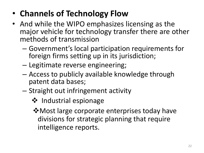### • **Channels of Technology Flow**

- And while the WIPO emphasizes licensing as the major vehicle for technology transfer there are other methods of transmission
	- Government's local participation requirements for foreign firms setting up in its jurisdiction;
	- Legitimate reverse engineering;
	- Access to publicly available knowledge through patent data bases;
	- Straight out infringement activity
		- ❖ Industrial espionage
		- **\*** Most large corporate enterprises today have divisions for strategic planning that require intelligence reports.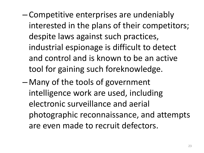- Competitive enterprises are undeniably interested in the plans of their competitors; despite laws against such practices, industrial espionage is difficult to detect and control and is known to be an active tool for gaining such foreknowledge.
- Many of the tools of government intelligence work are used, including electronic surveillance and aerial photographic reconnaissance, and attempts are even made to recruit defectors.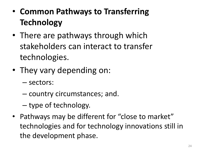- **Common Pathways to Transferring Technology**
- There are pathways through which stakeholders can interact to transfer technologies.
- They vary depending on:
	- sectors:
	- country circumstances; and.
	- type of technology.
- Pathways may be different for "close to market" technologies and for technology innovations still in the development phase.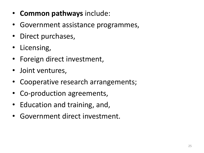- **Common pathways** include:
- Government assistance programmes,
- Direct purchases,
- Licensing,
- Foreign direct investment,
- Joint ventures,
- Cooperative research arrangements;
- Co-production agreements,
- Education and training, and,
- Government direct investment.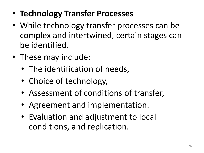- **Technology Transfer Processes**
- While technology transfer processes can be complex and intertwined, certain stages can be identified.
- These may include:
	- The identification of needs,
	- Choice of technology,
	- Assessment of conditions of transfer,
	- Agreement and implementation.
	- Evaluation and adjustment to local conditions, and replication.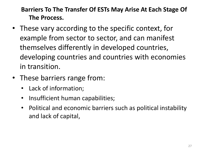#### **Barriers To The Transfer Of ESTs May Arise At Each Stage Of The Process.**

- These vary according to the specific context, for example from sector to sector, and can manifest themselves differently in developed countries, developing countries and countries with economies in transition.
- These barriers range from:
	- Lack of information;
	- Insufficient human capabilities;
	- Political and economic barriers such as political instability and lack of capital,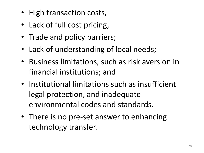- High transaction costs,
- Lack of full cost pricing,
- Trade and policy barriers;
- Lack of understanding of local needs;
- Business limitations, such as risk aversion in financial institutions; and
- Institutional limitations such as insufficient legal protection, and inadequate environmental codes and standards.
- There is no pre-set answer to enhancing technology transfer.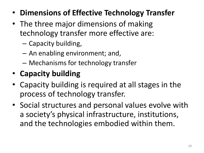- **Dimensions of Effective Technology Transfer**
- The three major dimensions of making technology transfer more effective are:
	- Capacity building,
	- An enabling environment; and,
	- Mechanisms for technology transfer

## • **Capacity building**

- Capacity building is required at all stages in the process of technology transfer.
- Social structures and personal values evolve with a society's physical infrastructure, institutions, and the technologies embodied within them.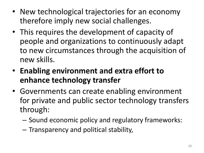- New technological trajectories for an economy therefore imply new social challenges.
- This requires the development of capacity of people and organizations to continuously adapt to new circumstances through the acquisition of new skills.
- **Enabling environment and extra effort to enhance technology transfer**
- Governments can create enabling environment for private and public sector technology transfers through:
	- Sound economic policy and regulatory frameworks:
	- Transparency and political stability,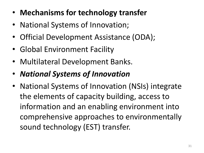- **Mechanisms for technology transfer**
- National Systems of Innovation;
- Official Development Assistance (ODA);
- Global Environment Facility
- Multilateral Development Banks.
- *National Systems of Innovation*
- National Systems of Innovation (NSIs) integrate the elements of capacity building, access to information and an enabling environment into comprehensive approaches to environmentally sound technology (EST) transfer.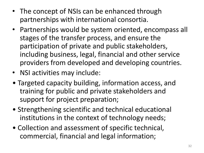- The concept of NSIs can be enhanced through partnerships with international consortia.
- Partnerships would be system oriented, encompass all stages of the transfer process, and ensure the participation of private and public stakeholders, including business, legal, financial and other service providers from developed and developing countries.
- NSI activities may include:
- Targeted capacity building, information access, and training for public and private stakeholders and support for project preparation;
- Strengthening scientific and technical educational institutions in the context of technology needs;
- Collection and assessment of specific technical, commercial, financial and legal information;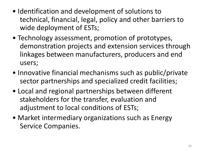- Identification and development of solutions to technical, financial, legal, policy and other barriers to wide deployment of ESTs;
- Technology assessment, promotion of prototypes, demonstration projects and extension services through linkages between manufacturers, producers and end users;
- Innovative financial mechanisms such as public/private sector partnerships and specialized credit facilities;
- Local and regional partnerships between different stakeholders for the transfer, evaluation and adjustment to local conditions of ESTs;
- Market intermediary organizations such as Energy Service Companies.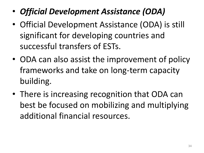- *Official Development Assistance (ODA)*
- Official Development Assistance (ODA) is still significant for developing countries and successful transfers of ESTs.
- ODA can also assist the improvement of policy frameworks and take on long-term capacity building.
- There is increasing recognition that ODA can best be focused on mobilizing and multiplying additional financial resources.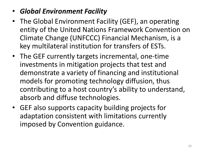#### • *Global Environment Facility*

- The Global Environment Facility (GEF), an operating entity of the United Nations Framework Convention on Climate Change (UNFCCC) Financial Mechanism, is a key multilateral institution for transfers of ESTs.
- The GEF currently targets incremental, one-time investments in mitigation projects that test and demonstrate a variety of financing and institutional models for promoting technology diffusion, thus contributing to a host country's ability to understand, absorb and diffuse technologies.
- GEF also supports capacity building projects for adaptation consistent with limitations currently imposed by Convention guidance.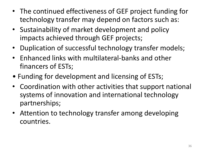- The continued effectiveness of GEF project funding for technology transfer may depend on factors such as:
- Sustainability of market development and policy impacts achieved through GEF projects;
- Duplication of successful technology transfer models;
- Enhanced links with multilateral-banks and other financers of ESTs;
- Funding for development and licensing of ESTs;
- Coordination with other activities that support national systems of innovation and international technology partnerships;
- Attention to technology transfer among developing countries.